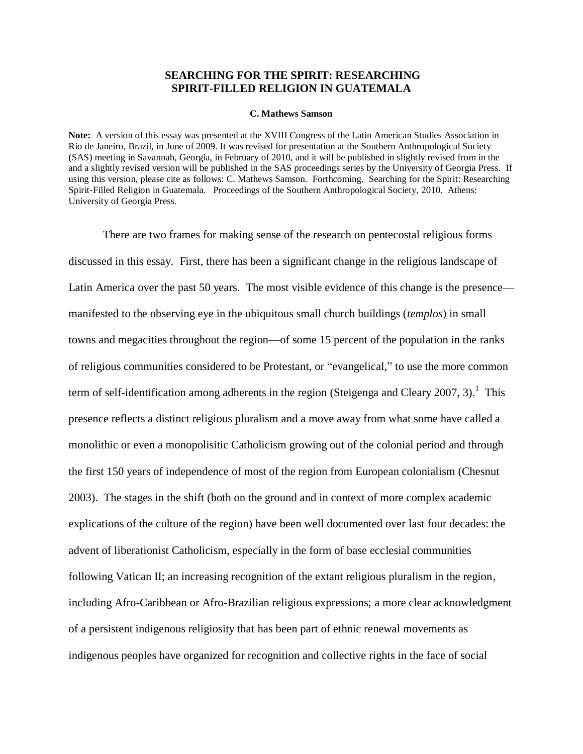## **SEARCHING FOR THE SPIRIT: RESEARCHING SPIRIT-FILLED RELIGION IN GUATEMALA**

#### **C. Mathews Samson**

**Note:** A version of this essay was presented at the XVIII Congress of the Latin American Studies Association in Rio de Janeiro, Brazil, in June of 2009. It was revised for presentation at the Southern Anthropological Society (SAS) meeting in Savannah, Georgia, in February of 2010, and it will be published in slightly revised from in the and a slightly revised version will be published in the SAS proceedings series by the University of Georgia Press. If using this version, please cite as follows: C. Mathews Samson. Forthcoming. Searching for the Spirit: Researching Spirit-Filled Religion in Guatemala. Proceedings of the Southern Anthropological Society, 2010. Athens: University of Georgia Press.

There are two frames for making sense of the research on pentecostal religious forms discussed in this essay. First, there has been a significant change in the religious landscape of Latin America over the past 50 years. The most visible evidence of this change is the presence manifested to the observing eye in the ubiquitous small church buildings (*templos*) in small towns and megacities throughout the region—of some 15 percent of the population in the ranks of religious communities considered to be Protestant, or "evangelical," to use the more common term of self-identification among adherents in the region (Steigenga and Cleary 2007, 3).<sup>1</sup> This presence reflects a distinct religious pluralism and a move away from what some have called a monolithic or even a monopolisitic Catholicism growing out of the colonial period and through the first 150 years of independence of most of the region from European colonialism (Chesnut 2003). The stages in the shift (both on the ground and in context of more complex academic explications of the culture of the region) have been well documented over last four decades: the advent of liberationist Catholicism, especially in the form of base ecclesial communities following Vatican II; an increasing recognition of the extant religious pluralism in the region, including Afro-Caribbean or Afro-Brazilian religious expressions; a more clear acknowledgment of a persistent indigenous religiosity that has been part of ethnic renewal movements as indigenous peoples have organized for recognition and collective rights in the face of social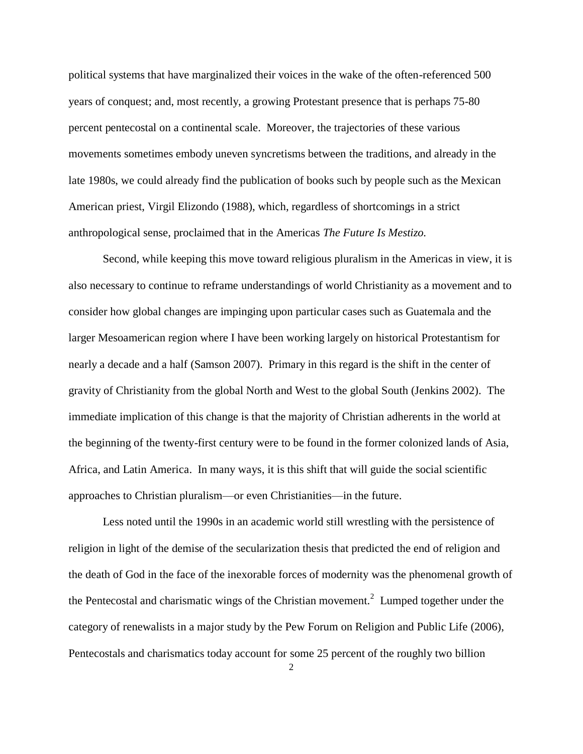political systems that have marginalized their voices in the wake of the often-referenced 500 years of conquest; and, most recently, a growing Protestant presence that is perhaps 75-80 percent pentecostal on a continental scale. Moreover, the trajectories of these various movements sometimes embody uneven syncretisms between the traditions, and already in the late 1980s, we could already find the publication of books such by people such as the Mexican American priest, Virgil Elizondo (1988), which, regardless of shortcomings in a strict anthropological sense, proclaimed that in the Americas *The Future Is Mestizo.*

Second, while keeping this move toward religious pluralism in the Americas in view, it is also necessary to continue to reframe understandings of world Christianity as a movement and to consider how global changes are impinging upon particular cases such as Guatemala and the larger Mesoamerican region where I have been working largely on historical Protestantism for nearly a decade and a half (Samson 2007). Primary in this regard is the shift in the center of gravity of Christianity from the global North and West to the global South (Jenkins 2002). The immediate implication of this change is that the majority of Christian adherents in the world at the beginning of the twenty-first century were to be found in the former colonized lands of Asia, Africa, and Latin America. In many ways, it is this shift that will guide the social scientific approaches to Christian pluralism—or even Christianities—in the future.

Less noted until the 1990s in an academic world still wrestling with the persistence of religion in light of the demise of the secularization thesis that predicted the end of religion and the death of God in the face of the inexorable forces of modernity was the phenomenal growth of the Pentecostal and charismatic wings of the Christian movement.<sup>2</sup> Lumped together under the category of renewalists in a major study by the Pew Forum on Religion and Public Life (2006), Pentecostals and charismatics today account for some 25 percent of the roughly two billion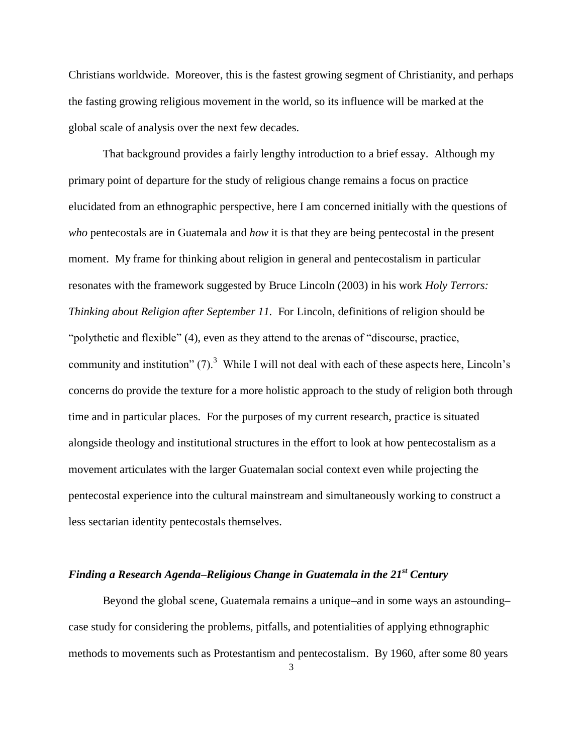Christians worldwide. Moreover, this is the fastest growing segment of Christianity, and perhaps the fasting growing religious movement in the world, so its influence will be marked at the global scale of analysis over the next few decades.

That background provides a fairly lengthy introduction to a brief essay. Although my primary point of departure for the study of religious change remains a focus on practice elucidated from an ethnographic perspective, here I am concerned initially with the questions of *who* pentecostals are in Guatemala and *how* it is that they are being pentecostal in the present moment. My frame for thinking about religion in general and pentecostalism in particular resonates with the framework suggested by Bruce Lincoln (2003) in his work *Holy Terrors: Thinking about Religion after September 11.* For Lincoln, definitions of religion should be "polythetic and flexible" (4), even as they attend to the arenas of "discourse, practice, community and institution"  $(7)$ .<sup>3</sup> While I will not deal with each of these aspects here, Lincoln's concerns do provide the texture for a more holistic approach to the study of religion both through time and in particular places. For the purposes of my current research, practice is situated alongside theology and institutional structures in the effort to look at how pentecostalism as a movement articulates with the larger Guatemalan social context even while projecting the pentecostal experience into the cultural mainstream and simultaneously working to construct a less sectarian identity pentecostals themselves.

## *Finding a Research Agenda–Religious Change in Guatemala in the 21st Century*

Beyond the global scene, Guatemala remains a unique–and in some ways an astounding– case study for considering the problems, pitfalls, and potentialities of applying ethnographic methods to movements such as Protestantism and pentecostalism. By 1960, after some 80 years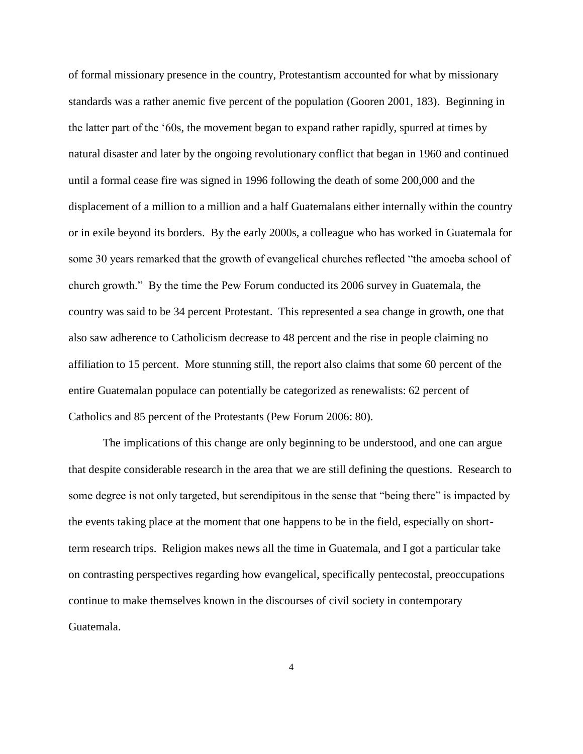of formal missionary presence in the country, Protestantism accounted for what by missionary standards was a rather anemic five percent of the population (Gooren 2001, 183). Beginning in the latter part of the ‗60s, the movement began to expand rather rapidly, spurred at times by natural disaster and later by the ongoing revolutionary conflict that began in 1960 and continued until a formal cease fire was signed in 1996 following the death of some 200,000 and the displacement of a million to a million and a half Guatemalans either internally within the country or in exile beyond its borders. By the early 2000s, a colleague who has worked in Guatemala for some 30 years remarked that the growth of evangelical churches reflected "the amoeba school of church growth." By the time the Pew Forum conducted its 2006 survey in Guatemala, the country was said to be 34 percent Protestant. This represented a sea change in growth, one that also saw adherence to Catholicism decrease to 48 percent and the rise in people claiming no affiliation to 15 percent. More stunning still, the report also claims that some 60 percent of the entire Guatemalan populace can potentially be categorized as renewalists: 62 percent of Catholics and 85 percent of the Protestants (Pew Forum 2006: 80).

The implications of this change are only beginning to be understood, and one can argue that despite considerable research in the area that we are still defining the questions. Research to some degree is not only targeted, but serendipitous in the sense that "being there" is impacted by the events taking place at the moment that one happens to be in the field, especially on shortterm research trips. Religion makes news all the time in Guatemala, and I got a particular take on contrasting perspectives regarding how evangelical, specifically pentecostal, preoccupations continue to make themselves known in the discourses of civil society in contemporary Guatemala.

4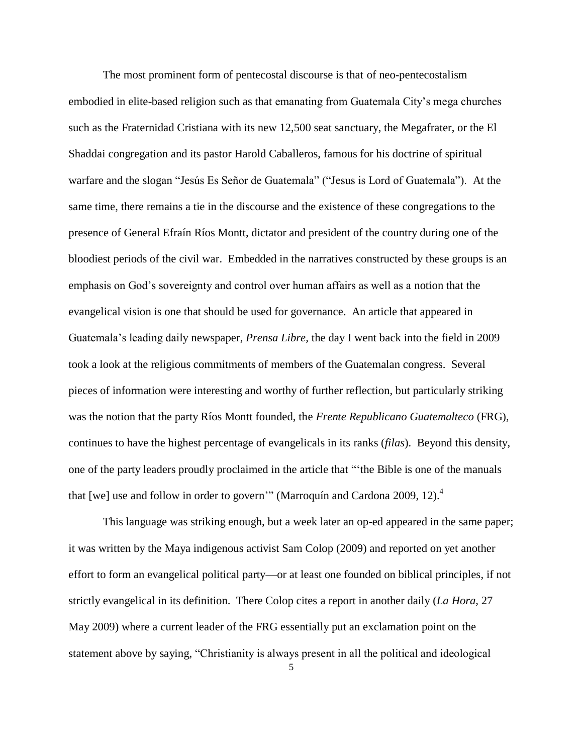The most prominent form of pentecostal discourse is that of neo-pentecostalism embodied in elite-based religion such as that emanating from Guatemala City's mega churches such as the Fraternidad Cristiana with its new 12,500 seat sanctuary, the Megafrater, or the El Shaddai congregation and its pastor Harold Caballeros, famous for his doctrine of spiritual warfare and the slogan "Jesús Es Señor de Guatemala" ("Jesus is Lord of Guatemala"). At the same time, there remains a tie in the discourse and the existence of these congregations to the presence of General Efraín Ríos Montt, dictator and president of the country during one of the bloodiest periods of the civil war. Embedded in the narratives constructed by these groups is an emphasis on God's sovereignty and control over human affairs as well as a notion that the evangelical vision is one that should be used for governance. An article that appeared in Guatemala's leading daily newspaper, *Prensa Libre,* the day I went back into the field in 2009 took a look at the religious commitments of members of the Guatemalan congress. Several pieces of information were interesting and worthy of further reflection, but particularly striking was the notion that the party Ríos Montt founded, the *Frente Republicano Guatemalteco* (FRG)*,* continues to have the highest percentage of evangelicals in its ranks (*filas*). Beyond this density, one of the party leaders proudly proclaimed in the article that "the Bible is one of the manuals" that [we] use and follow in order to govern'" (Marroquín and Cardona 2009, 12). $^{4}$ 

This language was striking enough, but a week later an op-ed appeared in the same paper; it was written by the Maya indigenous activist Sam Colop (2009) and reported on yet another effort to form an evangelical political party—or at least one founded on biblical principles, if not strictly evangelical in its definition. There Colop cites a report in another daily (*La Hora*, 27 May 2009) where a current leader of the FRG essentially put an exclamation point on the statement above by saying, "Christianity is always present in all the political and ideological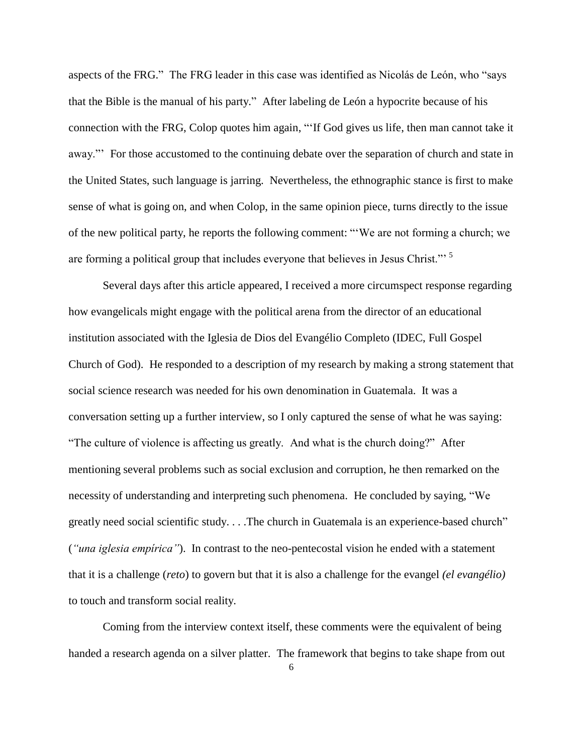aspects of the FRG." The FRG leader in this case was identified as Nicolás de León, who "says" that the Bible is the manual of his party.‖ After labeling de León a hypocrite because of his connection with the FRG, Colop quotes him again, "If God gives us life, then man cannot take it away." For those accustomed to the continuing debate over the separation of church and state in the United States, such language is jarring. Nevertheless, the ethnographic stance is first to make sense of what is going on, and when Colop, in the same opinion piece, turns directly to the issue of the new political party, he reports the following comment: "We are not forming a church; we are forming a political group that includes everyone that believes in Jesus Christ."<sup>5</sup>

Several days after this article appeared, I received a more circumspect response regarding how evangelicals might engage with the political arena from the director of an educational institution associated with the Iglesia de Dios del Evangélio Completo (IDEC, Full Gospel Church of God). He responded to a description of my research by making a strong statement that social science research was needed for his own denomination in Guatemala. It was a conversation setting up a further interview, so I only captured the sense of what he was saying: "The culture of violence is affecting us greatly. And what is the church doing?" After mentioning several problems such as social exclusion and corruption, he then remarked on the necessity of understanding and interpreting such phenomena. He concluded by saying, "We greatly need social scientific study. . . . The church in Guatemala is an experience-based church" (*"una iglesia empírica"*). In contrast to the neo-pentecostal vision he ended with a statement that it is a challenge (*reto*) to govern but that it is also a challenge for the evangel *(el evangélio)* to touch and transform social reality.

Coming from the interview context itself, these comments were the equivalent of being handed a research agenda on a silver platter. The framework that begins to take shape from out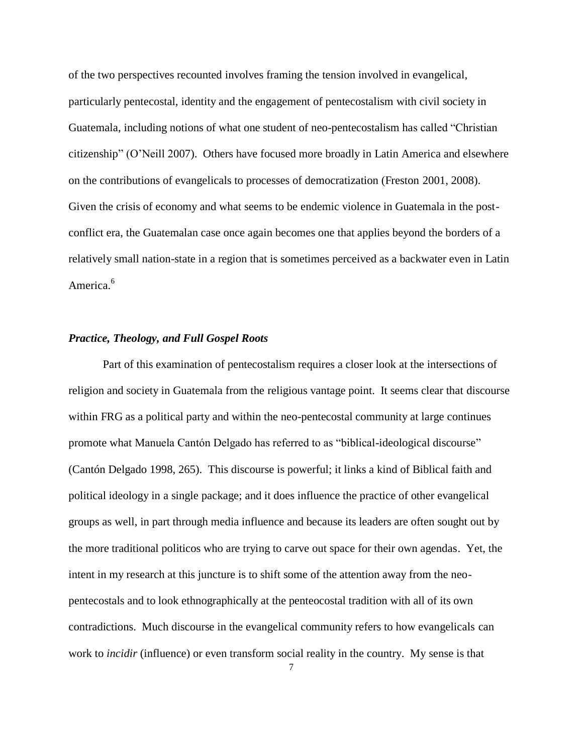of the two perspectives recounted involves framing the tension involved in evangelical, particularly pentecostal, identity and the engagement of pentecostalism with civil society in Guatemala, including notions of what one student of neo-pentecostalism has called "Christian" citizenship‖ (O'Neill 2007). Others have focused more broadly in Latin America and elsewhere on the contributions of evangelicals to processes of democratization (Freston 2001, 2008). Given the crisis of economy and what seems to be endemic violence in Guatemala in the postconflict era, the Guatemalan case once again becomes one that applies beyond the borders of a relatively small nation-state in a region that is sometimes perceived as a backwater even in Latin America<sup>6</sup>

### *Practice, Theology, and Full Gospel Roots*

Part of this examination of pentecostalism requires a closer look at the intersections of religion and society in Guatemala from the religious vantage point. It seems clear that discourse within FRG as a political party and within the neo-pentecostal community at large continues promote what Manuela Cantón Delgado has referred to as "biblical-ideological discourse" (Cantón Delgado 1998, 265). This discourse is powerful; it links a kind of Biblical faith and political ideology in a single package; and it does influence the practice of other evangelical groups as well, in part through media influence and because its leaders are often sought out by the more traditional politicos who are trying to carve out space for their own agendas. Yet, the intent in my research at this juncture is to shift some of the attention away from the neopentecostals and to look ethnographically at the penteocostal tradition with all of its own contradictions. Much discourse in the evangelical community refers to how evangelicals can work to *incidir* (influence) or even transform social reality in the country. My sense is that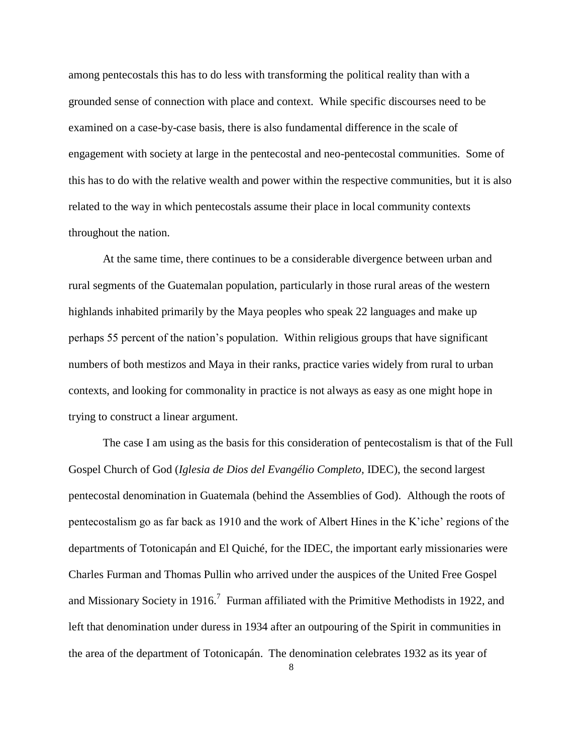among pentecostals this has to do less with transforming the political reality than with a grounded sense of connection with place and context. While specific discourses need to be examined on a case-by-case basis, there is also fundamental difference in the scale of engagement with society at large in the pentecostal and neo-pentecostal communities. Some of this has to do with the relative wealth and power within the respective communities, but it is also related to the way in which pentecostals assume their place in local community contexts throughout the nation.

At the same time, there continues to be a considerable divergence between urban and rural segments of the Guatemalan population, particularly in those rural areas of the western highlands inhabited primarily by the Maya peoples who speak 22 languages and make up perhaps 55 percent of the nation's population. Within religious groups that have significant numbers of both mestizos and Maya in their ranks, practice varies widely from rural to urban contexts, and looking for commonality in practice is not always as easy as one might hope in trying to construct a linear argument.

The case I am using as the basis for this consideration of pentecostalism is that of the Full Gospel Church of God (*Iglesia de Dios del Evangélio Completo,* IDEC), the second largest pentecostal denomination in Guatemala (behind the Assemblies of God). Although the roots of pentecostalism go as far back as 1910 and the work of Albert Hines in the K'iche' regions of the departments of Totonicapán and El Quiché, for the IDEC, the important early missionaries were Charles Furman and Thomas Pullin who arrived under the auspices of the United Free Gospel and Missionary Society in 1916.<sup>7</sup> Furman affiliated with the Primitive Methodists in 1922, and left that denomination under duress in 1934 after an outpouring of the Spirit in communities in the area of the department of Totonicapán. The denomination celebrates 1932 as its year of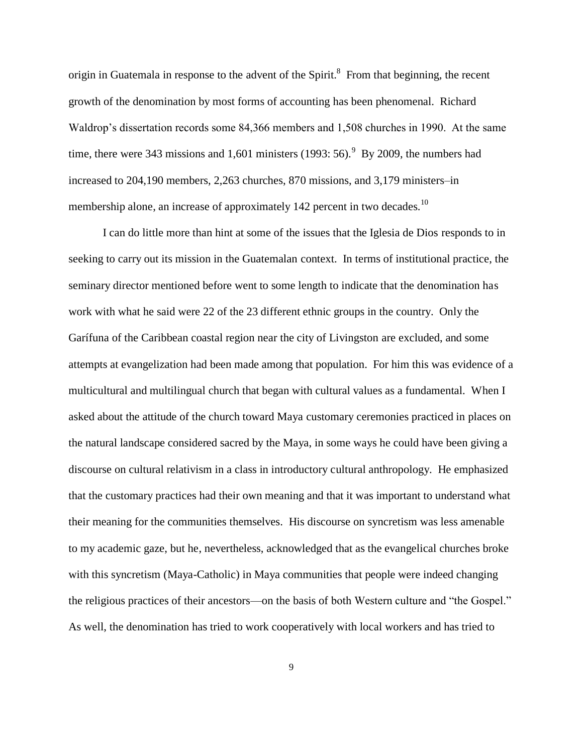origin in Guatemala in response to the advent of the Spirit. $^8$  From that beginning, the recent growth of the denomination by most forms of accounting has been phenomenal. Richard Waldrop's dissertation records some 84,366 members and 1,508 churches in 1990. At the same time, there were 343 missions and 1,601 ministers  $(1993: 56)$ . By 2009, the numbers had increased to 204,190 members, 2,263 churches, 870 missions, and 3,179 ministers–in membership alone, an increase of approximately 142 percent in two decades.<sup>10</sup>

I can do little more than hint at some of the issues that the Iglesia de Dios responds to in seeking to carry out its mission in the Guatemalan context. In terms of institutional practice, the seminary director mentioned before went to some length to indicate that the denomination has work with what he said were 22 of the 23 different ethnic groups in the country. Only the Garífuna of the Caribbean coastal region near the city of Livingston are excluded, and some attempts at evangelization had been made among that population. For him this was evidence of a multicultural and multilingual church that began with cultural values as a fundamental. When I asked about the attitude of the church toward Maya customary ceremonies practiced in places on the natural landscape considered sacred by the Maya, in some ways he could have been giving a discourse on cultural relativism in a class in introductory cultural anthropology. He emphasized that the customary practices had their own meaning and that it was important to understand what their meaning for the communities themselves. His discourse on syncretism was less amenable to my academic gaze, but he, nevertheless, acknowledged that as the evangelical churches broke with this syncretism (Maya-Catholic) in Maya communities that people were indeed changing the religious practices of their ancestors—on the basis of both Western culture and "the Gospel." As well, the denomination has tried to work cooperatively with local workers and has tried to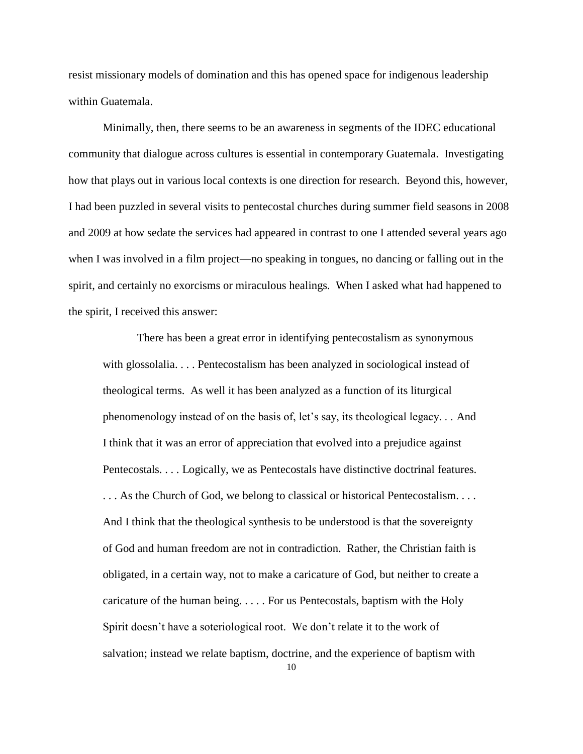resist missionary models of domination and this has opened space for indigenous leadership within Guatemala.

Minimally, then, there seems to be an awareness in segments of the IDEC educational community that dialogue across cultures is essential in contemporary Guatemala. Investigating how that plays out in various local contexts is one direction for research. Beyond this, however, I had been puzzled in several visits to pentecostal churches during summer field seasons in 2008 and 2009 at how sedate the services had appeared in contrast to one I attended several years ago when I was involved in a film project—no speaking in tongues, no dancing or falling out in the spirit, and certainly no exorcisms or miraculous healings. When I asked what had happened to the spirit, I received this answer:

There has been a great error in identifying pentecostalism as synonymous with glossolalia. . . . Pentecostalism has been analyzed in sociological instead of theological terms. As well it has been analyzed as a function of its liturgical phenomenology instead of on the basis of, let's say, its theological legacy. . . And I think that it was an error of appreciation that evolved into a prejudice against Pentecostals. . . . Logically, we as Pentecostals have distinctive doctrinal features. . . . As the Church of God, we belong to classical or historical Pentecostalism. . . . And I think that the theological synthesis to be understood is that the sovereignty of God and human freedom are not in contradiction. Rather, the Christian faith is obligated, in a certain way, not to make a caricature of God, but neither to create a caricature of the human being. . . . . For us Pentecostals, baptism with the Holy Spirit doesn't have a soteriological root. We don't relate it to the work of salvation; instead we relate baptism, doctrine, and the experience of baptism with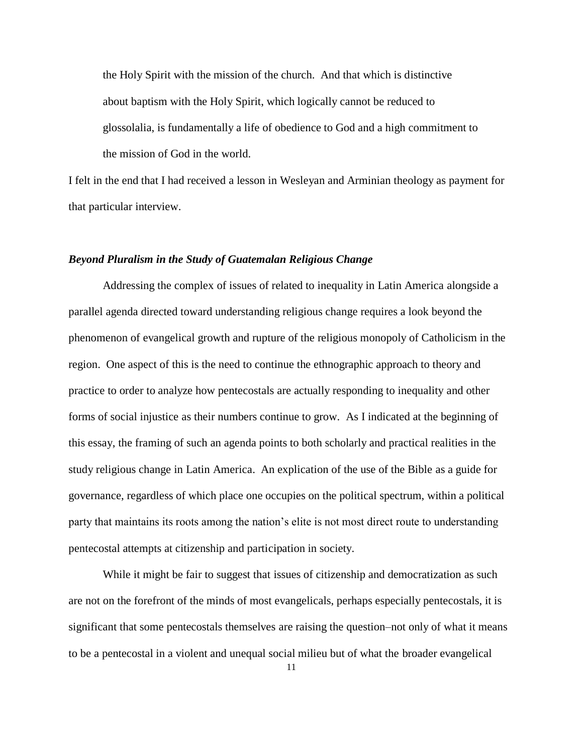the Holy Spirit with the mission of the church. And that which is distinctive about baptism with the Holy Spirit, which logically cannot be reduced to glossolalia, is fundamentally a life of obedience to God and a high commitment to the mission of God in the world.

I felt in the end that I had received a lesson in Wesleyan and Arminian theology as payment for that particular interview.

### *Beyond Pluralism in the Study of Guatemalan Religious Change*

Addressing the complex of issues of related to inequality in Latin America alongside a parallel agenda directed toward understanding religious change requires a look beyond the phenomenon of evangelical growth and rupture of the religious monopoly of Catholicism in the region. One aspect of this is the need to continue the ethnographic approach to theory and practice to order to analyze how pentecostals are actually responding to inequality and other forms of social injustice as their numbers continue to grow. As I indicated at the beginning of this essay, the framing of such an agenda points to both scholarly and practical realities in the study religious change in Latin America. An explication of the use of the Bible as a guide for governance, regardless of which place one occupies on the political spectrum, within a political party that maintains its roots among the nation's elite is not most direct route to understanding pentecostal attempts at citizenship and participation in society.

While it might be fair to suggest that issues of citizenship and democratization as such are not on the forefront of the minds of most evangelicals, perhaps especially pentecostals, it is significant that some pentecostals themselves are raising the question–not only of what it means to be a pentecostal in a violent and unequal social milieu but of what the broader evangelical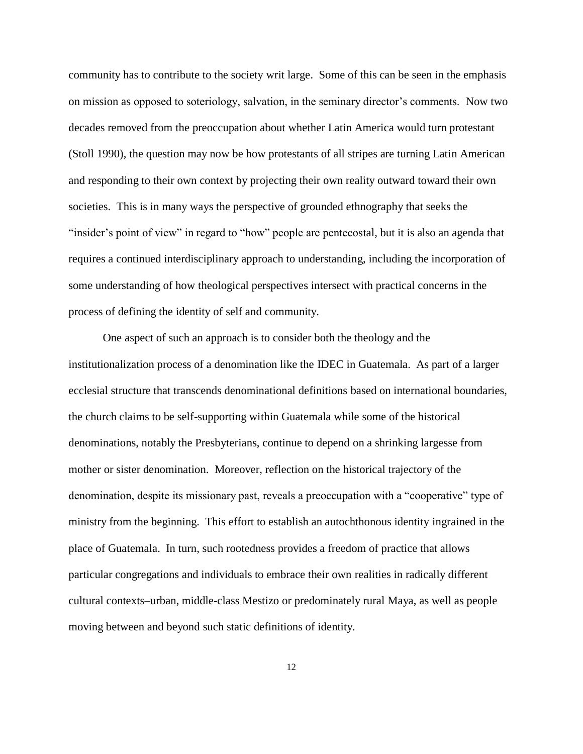community has to contribute to the society writ large. Some of this can be seen in the emphasis on mission as opposed to soteriology, salvation, in the seminary director's comments. Now two decades removed from the preoccupation about whether Latin America would turn protestant (Stoll 1990), the question may now be how protestants of all stripes are turning Latin American and responding to their own context by projecting their own reality outward toward their own societies. This is in many ways the perspective of grounded ethnography that seeks the "insider's point of view" in regard to "how" people are pentecostal, but it is also an agenda that requires a continued interdisciplinary approach to understanding, including the incorporation of some understanding of how theological perspectives intersect with practical concerns in the process of defining the identity of self and community.

One aspect of such an approach is to consider both the theology and the institutionalization process of a denomination like the IDEC in Guatemala. As part of a larger ecclesial structure that transcends denominational definitions based on international boundaries, the church claims to be self-supporting within Guatemala while some of the historical denominations, notably the Presbyterians, continue to depend on a shrinking largesse from mother or sister denomination. Moreover, reflection on the historical trajectory of the denomination, despite its missionary past, reveals a preoccupation with a "cooperative" type of ministry from the beginning. This effort to establish an autochthonous identity ingrained in the place of Guatemala. In turn, such rootedness provides a freedom of practice that allows particular congregations and individuals to embrace their own realities in radically different cultural contexts–urban, middle-class Mestizo or predominately rural Maya, as well as people moving between and beyond such static definitions of identity.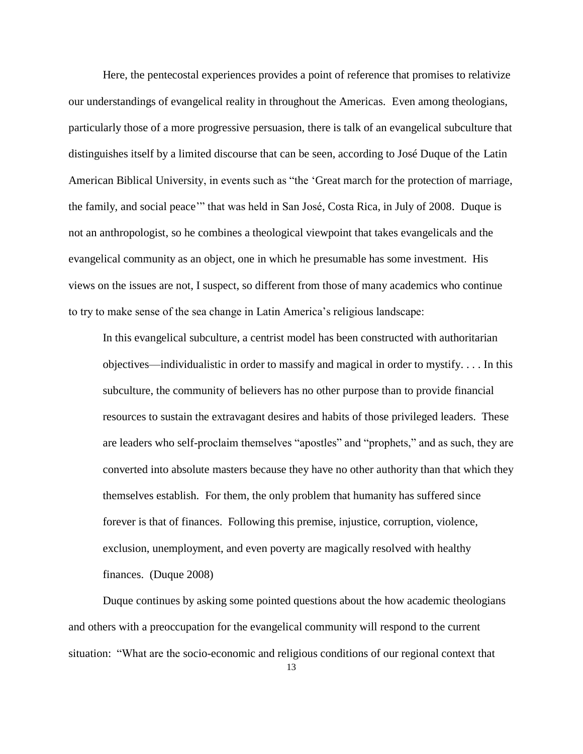Here, the pentecostal experiences provides a point of reference that promises to relativize our understandings of evangelical reality in throughout the Americas. Even among theologians, particularly those of a more progressive persuasion, there is talk of an evangelical subculture that distinguishes itself by a limited discourse that can be seen, according to José Duque of the Latin American Biblical University, in events such as "the 'Great march for the protection of marriage, the family, and social peace" that was held in San José, Costa Rica, in July of 2008. Duque is not an anthropologist, so he combines a theological viewpoint that takes evangelicals and the evangelical community as an object, one in which he presumable has some investment. His views on the issues are not, I suspect, so different from those of many academics who continue to try to make sense of the sea change in Latin America's religious landscape:

In this evangelical subculture, a centrist model has been constructed with authoritarian objectives—individualistic in order to massify and magical in order to mystify. . . . In this subculture, the community of believers has no other purpose than to provide financial resources to sustain the extravagant desires and habits of those privileged leaders. These are leaders who self-proclaim themselves "apostles" and "prophets," and as such, they are converted into absolute masters because they have no other authority than that which they themselves establish. For them, the only problem that humanity has suffered since forever is that of finances. Following this premise, injustice, corruption, violence, exclusion, unemployment, and even poverty are magically resolved with healthy finances. (Duque 2008)

Duque continues by asking some pointed questions about the how academic theologians and others with a preoccupation for the evangelical community will respond to the current situation: "What are the socio-economic and religious conditions of our regional context that

13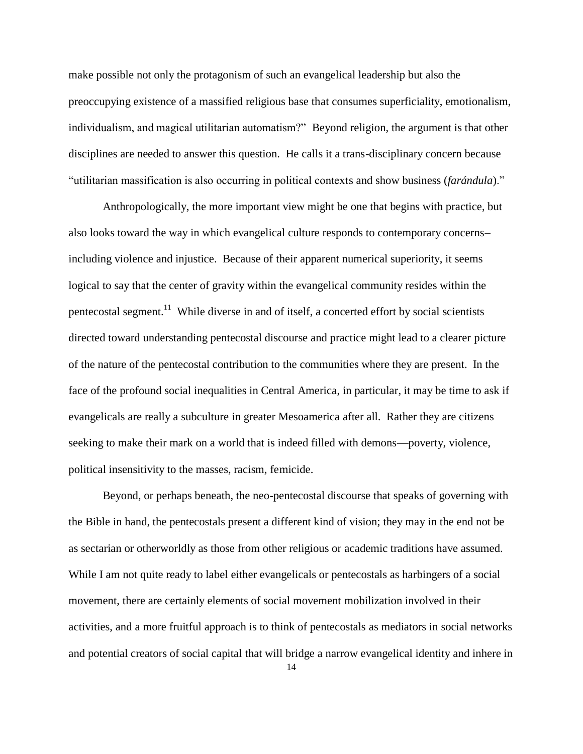make possible not only the protagonism of such an evangelical leadership but also the preoccupying existence of a massified religious base that consumes superficiality, emotionalism, individualism, and magical utilitarian automatism?" Beyond religion, the argument is that other disciplines are needed to answer this question. He calls it a trans-disciplinary concern because "utilitarian massification is also occurring in political contexts and show business (*farándula*)."

Anthropologically, the more important view might be one that begins with practice, but also looks toward the way in which evangelical culture responds to contemporary concerns– including violence and injustice. Because of their apparent numerical superiority, it seems logical to say that the center of gravity within the evangelical community resides within the pentecostal segment.<sup>11</sup> While diverse in and of itself, a concerted effort by social scientists directed toward understanding pentecostal discourse and practice might lead to a clearer picture of the nature of the pentecostal contribution to the communities where they are present. In the face of the profound social inequalities in Central America, in particular, it may be time to ask if evangelicals are really a subculture in greater Mesoamerica after all. Rather they are citizens seeking to make their mark on a world that is indeed filled with demons—poverty, violence, political insensitivity to the masses, racism, femicide.

Beyond, or perhaps beneath, the neo-pentecostal discourse that speaks of governing with the Bible in hand, the pentecostals present a different kind of vision; they may in the end not be as sectarian or otherworldly as those from other religious or academic traditions have assumed. While I am not quite ready to label either evangelicals or pentecostals as harbingers of a social movement, there are certainly elements of social movement mobilization involved in their activities, and a more fruitful approach is to think of pentecostals as mediators in social networks and potential creators of social capital that will bridge a narrow evangelical identity and inhere in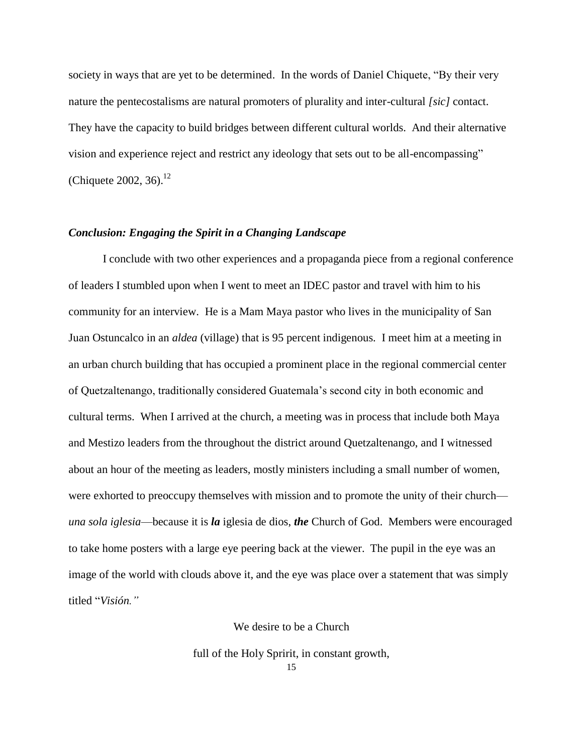society in ways that are yet to be determined. In the words of Daniel Chiquete, "By their very nature the pentecostalisms are natural promoters of plurality and inter-cultural *[sic]* contact. They have the capacity to build bridges between different cultural worlds. And their alternative vision and experience reject and restrict any ideology that sets out to be all-encompassing" (Chiquete 2002, 36).<sup>12</sup>

# *Conclusion: Engaging the Spirit in a Changing Landscape*

I conclude with two other experiences and a propaganda piece from a regional conference of leaders I stumbled upon when I went to meet an IDEC pastor and travel with him to his community for an interview. He is a Mam Maya pastor who lives in the municipality of San Juan Ostuncalco in an *aldea* (village) that is 95 percent indigenous. I meet him at a meeting in an urban church building that has occupied a prominent place in the regional commercial center of Quetzaltenango, traditionally considered Guatemala's second city in both economic and cultural terms. When I arrived at the church, a meeting was in process that include both Maya and Mestizo leaders from the throughout the district around Quetzaltenango, and I witnessed about an hour of the meeting as leaders, mostly ministers including a small number of women, were exhorted to preoccupy themselves with mission and to promote the unity of their church *una sola iglesia*—because it is *la* iglesia de dios, *the* Church of God. Members were encouraged to take home posters with a large eye peering back at the viewer. The pupil in the eye was an image of the world with clouds above it, and the eye was place over a statement that was simply titled "Visión."

We desire to be a Church

full of the Holy Spririt, in constant growth,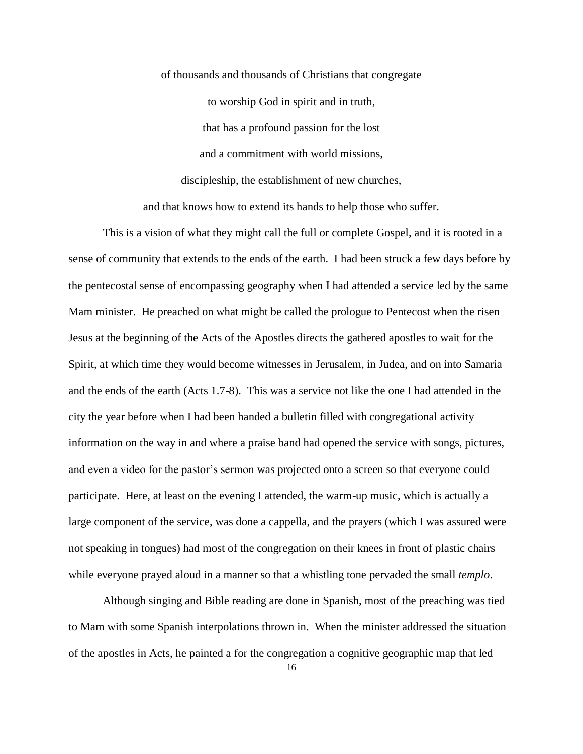of thousands and thousands of Christians that congregate to worship God in spirit and in truth, that has a profound passion for the lost and a commitment with world missions, discipleship, the establishment of new churches, and that knows how to extend its hands to help those who suffer.

This is a vision of what they might call the full or complete Gospel, and it is rooted in a sense of community that extends to the ends of the earth. I had been struck a few days before by the pentecostal sense of encompassing geography when I had attended a service led by the same Mam minister. He preached on what might be called the prologue to Pentecost when the risen Jesus at the beginning of the Acts of the Apostles directs the gathered apostles to wait for the Spirit, at which time they would become witnesses in Jerusalem, in Judea, and on into Samaria and the ends of the earth (Acts 1.7-8). This was a service not like the one I had attended in the city the year before when I had been handed a bulletin filled with congregational activity information on the way in and where a praise band had opened the service with songs, pictures, and even a video for the pastor's sermon was projected onto a screen so that everyone could participate. Here, at least on the evening I attended, the warm-up music, which is actually a large component of the service, was done a cappella, and the prayers (which I was assured were not speaking in tongues) had most of the congregation on their knees in front of plastic chairs while everyone prayed aloud in a manner so that a whistling tone pervaded the small *templo*.

Although singing and Bible reading are done in Spanish, most of the preaching was tied to Mam with some Spanish interpolations thrown in. When the minister addressed the situation of the apostles in Acts, he painted a for the congregation a cognitive geographic map that led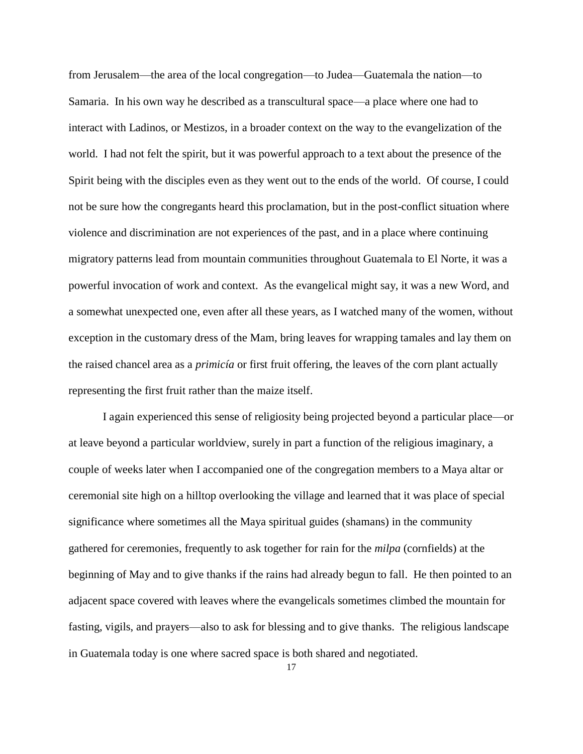from Jerusalem—the area of the local congregation—to Judea—Guatemala the nation—to Samaria. In his own way he described as a transcultural space—a place where one had to interact with Ladinos, or Mestizos, in a broader context on the way to the evangelization of the world. I had not felt the spirit, but it was powerful approach to a text about the presence of the Spirit being with the disciples even as they went out to the ends of the world. Of course, I could not be sure how the congregants heard this proclamation, but in the post-conflict situation where violence and discrimination are not experiences of the past, and in a place where continuing migratory patterns lead from mountain communities throughout Guatemala to El Norte, it was a powerful invocation of work and context. As the evangelical might say, it was a new Word, and a somewhat unexpected one, even after all these years, as I watched many of the women, without exception in the customary dress of the Mam, bring leaves for wrapping tamales and lay them on the raised chancel area as a *primicía* or first fruit offering, the leaves of the corn plant actually representing the first fruit rather than the maize itself.

I again experienced this sense of religiosity being projected beyond a particular place—or at leave beyond a particular worldview, surely in part a function of the religious imaginary, a couple of weeks later when I accompanied one of the congregation members to a Maya altar or ceremonial site high on a hilltop overlooking the village and learned that it was place of special significance where sometimes all the Maya spiritual guides (shamans) in the community gathered for ceremonies, frequently to ask together for rain for the *milpa* (cornfields) at the beginning of May and to give thanks if the rains had already begun to fall. He then pointed to an adjacent space covered with leaves where the evangelicals sometimes climbed the mountain for fasting, vigils, and prayers—also to ask for blessing and to give thanks. The religious landscape in Guatemala today is one where sacred space is both shared and negotiated.

17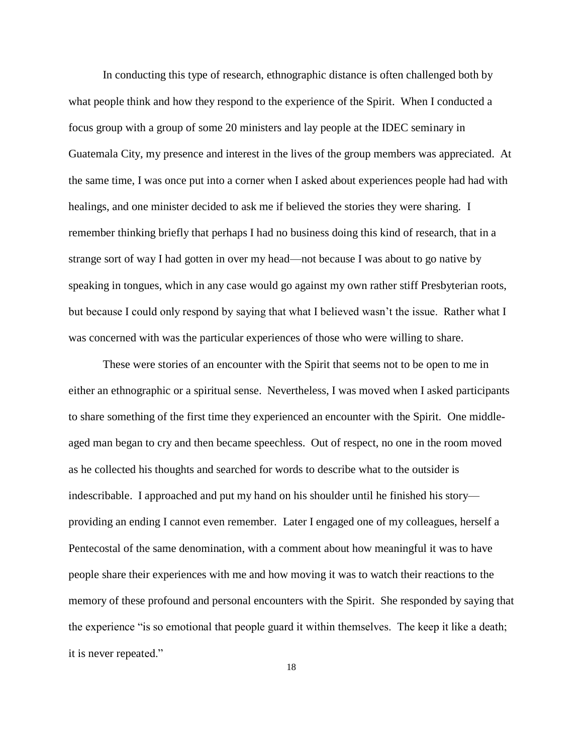In conducting this type of research, ethnographic distance is often challenged both by what people think and how they respond to the experience of the Spirit. When I conducted a focus group with a group of some 20 ministers and lay people at the IDEC seminary in Guatemala City, my presence and interest in the lives of the group members was appreciated. At the same time, I was once put into a corner when I asked about experiences people had had with healings, and one minister decided to ask me if believed the stories they were sharing. I remember thinking briefly that perhaps I had no business doing this kind of research, that in a strange sort of way I had gotten in over my head—not because I was about to go native by speaking in tongues, which in any case would go against my own rather stiff Presbyterian roots, but because I could only respond by saying that what I believed wasn't the issue. Rather what I was concerned with was the particular experiences of those who were willing to share.

These were stories of an encounter with the Spirit that seems not to be open to me in either an ethnographic or a spiritual sense. Nevertheless, I was moved when I asked participants to share something of the first time they experienced an encounter with the Spirit. One middleaged man began to cry and then became speechless. Out of respect, no one in the room moved as he collected his thoughts and searched for words to describe what to the outsider is indescribable. I approached and put my hand on his shoulder until he finished his story providing an ending I cannot even remember. Later I engaged one of my colleagues, herself a Pentecostal of the same denomination, with a comment about how meaningful it was to have people share their experiences with me and how moving it was to watch their reactions to the memory of these profound and personal encounters with the Spirit. She responded by saying that the experience "is so emotional that people guard it within themselves. The keep it like a death; it is never repeated."

18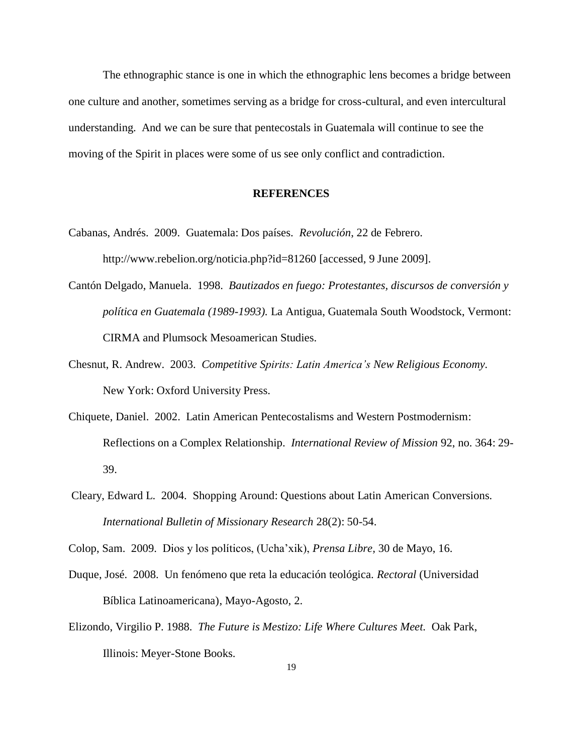The ethnographic stance is one in which the ethnographic lens becomes a bridge between one culture and another, sometimes serving as a bridge for cross-cultural, and even intercultural understanding. And we can be sure that pentecostals in Guatemala will continue to see the moving of the Spirit in places were some of us see only conflict and contradiction.

#### **REFERENCES**

- Cabanas, Andrés. 2009. Guatemala: Dos países. *Revolución*, 22 de Febrero. http://www.rebelion.org/noticia.php?id=81260 [accessed, 9 June 2009].
- Cantón Delgado, Manuela. 1998. *Bautizados en fuego: Protestantes, discursos de conversión y política en Guatemala (1989-1993).* La Antigua, Guatemala South Woodstock, Vermont: CIRMA and Plumsock Mesoamerican Studies.
- Chesnut, R. Andrew. 2003. *Competitive Spirits: Latin America's New Religious Economy.* New York: Oxford University Press.
- Chiquete, Daniel. 2002. Latin American Pentecostalisms and Western Postmodernism: Reflections on a Complex Relationship. *International Review of Mission* 92, no. 364: 29- 39.
- Cleary, Edward L. 2004. Shopping Around: Questions about Latin American Conversions. *International Bulletin of Missionary Research* 28(2): 50-54.

- Duque, José. 2008. Un fenómeno que reta la educación teológica. *Rectoral* (Universidad Bíblica Latinoamericana), Mayo-Agosto, 2.
- Elizondo, Virgilio P. 1988. *The Future is Mestizo: Life Where Cultures Meet.* Oak Park, Illinois: Meyer-Stone Books.

Colop, Sam. 2009. Dios y los políticos, (Ucha'xik), *Prensa Libre,* 30 de Mayo, 16.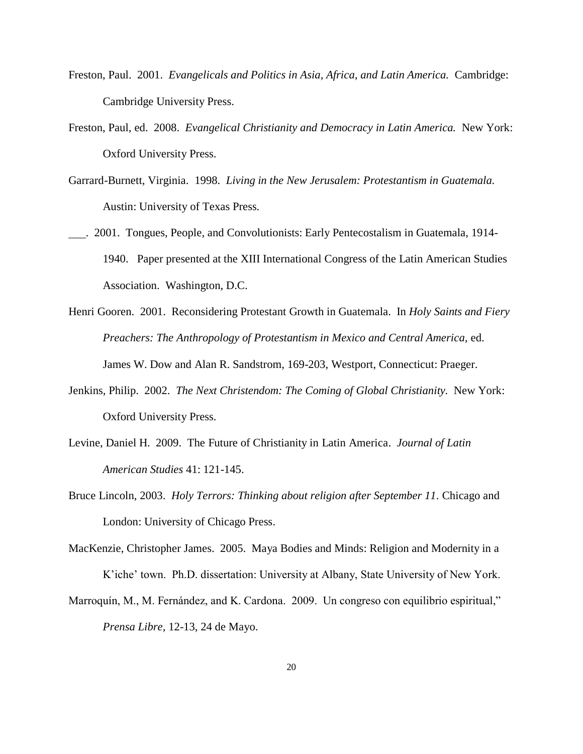- Freston, Paul. 2001. *Evangelicals and Politics in Asia, Africa, and Latin America.* Cambridge: Cambridge University Press.
- Freston, Paul, ed. 2008. *Evangelical Christianity and Democracy in Latin America.* New York: Oxford University Press.
- Garrard-Burnett, Virginia. 1998. *Living in the New Jerusalem: Protestantism in Guatemala.* Austin: University of Texas Press.
- . 2001. Tongues, People, and Convolutionists: Early Pentecostalism in Guatemala, 1914- 1940. Paper presented at the XIII International Congress of the Latin American Studies Association. Washington, D.C.
- Henri Gooren. 2001. Reconsidering Protestant Growth in Guatemala. In *Holy Saints and Fiery Preachers: The Anthropology of Protestantism in Mexico and Central America,* ed. James W. Dow and Alan R. Sandstrom, 169-203, Westport, Connecticut: Praeger.
- Jenkins, Philip. 2002. *The Next Christendom: The Coming of Global Christianity.* New York: Oxford University Press.
- Levine, Daniel H. 2009. The Future of Christianity in Latin America. *Journal of Latin American Studies* 41: 121-145.
- Bruce Lincoln, 2003. *Holy Terrors: Thinking about religion after September 11.* Chicago and London: University of Chicago Press.
- MacKenzie, Christopher James. 2005. Maya Bodies and Minds: Religion and Modernity in a K'iche' town. Ph.D. dissertation: University at Albany, State University of New York.
- Marroquín, M., M. Fernández, and K. Cardona. 2009. Un congreso con equilibrio espiritual," *Prensa Libre,* 12-13, 24 de Mayo.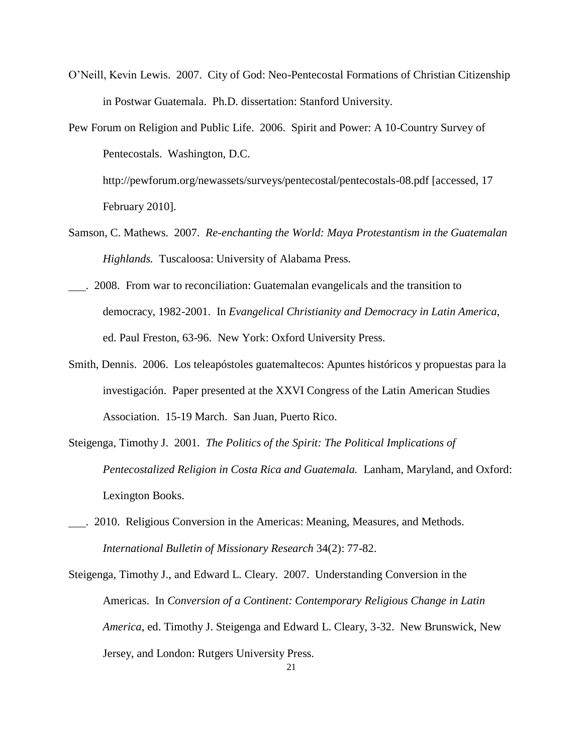- O'Neill, Kevin Lewis. 2007. City of God: Neo-Pentecostal Formations of Christian Citizenship in Postwar Guatemala. Ph.D. dissertation: Stanford University.
- Pew Forum on Religion and Public Life. 2006. Spirit and Power: A 10-Country Survey of Pentecostals. Washington, D.C. http://pewforum.org/newassets/surveys/pentecostal/pentecostals-08.pdf [accessed, 17 February 2010].
- Samson, C. Mathews. 2007. *Re-enchanting the World: Maya Protestantism in the Guatemalan Highlands.* Tuscaloosa: University of Alabama Press.
- . 2008. From war to reconciliation: Guatemalan evangelicals and the transition to democracy, 1982-2001. In *Evangelical Christianity and Democracy in Latin America,* ed. Paul Freston, 63-96. New York: Oxford University Press.
- Smith, Dennis. 2006. Los teleapóstoles guatemaltecos: Apuntes históricos y propuestas para la investigación. Paper presented at the XXVI Congress of the Latin American Studies Association. 15-19 March. San Juan, Puerto Rico.
- Steigenga, Timothy J. 2001. *The Politics of the Spirit: The Political Implications of Pentecostalized Religion in Costa Rica and Guatemala.* Lanham, Maryland, and Oxford: Lexington Books.
- . 2010. Religious Conversion in the Americas: Meaning, Measures, and Methods. *International Bulletin of Missionary Research* 34(2): 77-82.
- Steigenga, Timothy J., and Edward L. Cleary. 2007. Understanding Conversion in the Americas. In *Conversion of a Continent: Contemporary Religious Change in Latin America*, ed. Timothy J. Steigenga and Edward L. Cleary, 3-32. New Brunswick, New Jersey, and London: Rutgers University Press.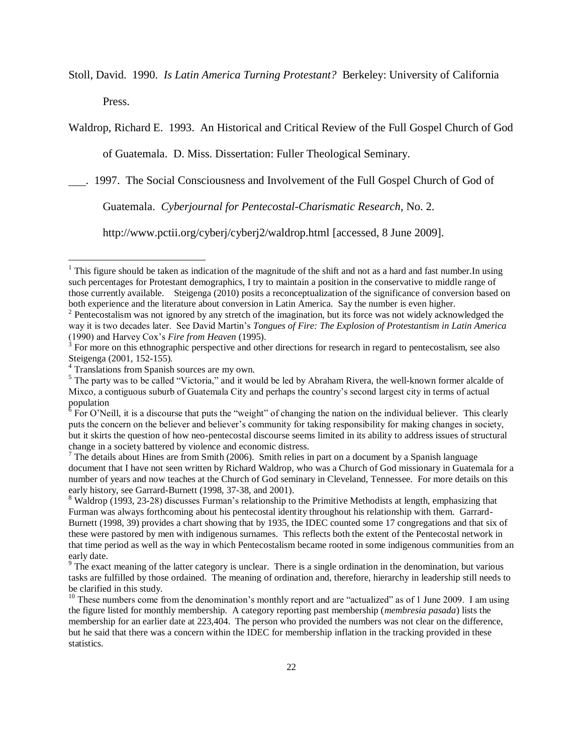Stoll, David. 1990. *Is Latin America Turning Protestant?* Berkeley: University of California Press.

Waldrop, Richard E. 1993. An Historical and Critical Review of the Full Gospel Church of God

of Guatemala. D. Miss. Dissertation: Fuller Theological Seminary.

. 1997. The Social Consciousness and Involvement of the Full Gospel Church of God of

Guatemala. *Cyberjournal for Pentecostal-Charismatic Research*, No. 2.

http://www.pctii.org/cyberj/cyberj2/waldrop.html [accessed, 8 June 2009].

 $\overline{a}$ 

<sup>&</sup>lt;sup>1</sup> This figure should be taken as indication of the magnitude of the shift and not as a hard and fast number. In using such percentages for Protestant demographics, I try to maintain a position in the conservative to middle range of those currently available. Steigenga (2010) posits a reconceptualization of the significance of conversion based on both experience and the literature about conversion in Latin America. Say the number is even higher.

 $2$  Pentecostalism was not ignored by any stretch of the imagination, but its force was not widely acknowledged the way it is two decades later. See David Martin's *Tongues of Fire: The Explosion of Protestantism in Latin America* (1990) and Harvey Cox's *Fire from Heaven* (1995). 3 For more on this ethnographic perspective and other directions for research in regard to pentecostalism, see also

Steigenga (2001, 152-155)*.* 4 Translations from Spanish sources are my own.

 $<sup>5</sup>$  The party was to be called "Victoria," and it would be led by Abraham Rivera, the well-known former alcalde of</sup> Mixco, a contiguous suburb of Guatemala City and perhaps the country's second largest city in terms of actual

population<br><sup>6</sup> For O'Neill, it is a discourse that puts the "weight" of changing the nation on the individual believer. This clearly puts the concern on the believer and believer's community for taking responsibility for making changes in society, but it skirts the question of how neo-pentecostal discourse seems limited in its ability to address issues of structural change in a society battered by violence and economic distress.

 $7$  The details about Hines are from Smith (2006). Smith relies in part on a document by a Spanish language document that I have not seen written by Richard Waldrop, who was a Church of God missionary in Guatemala for a number of years and now teaches at the Church of God seminary in Cleveland, Tennessee. For more details on this early history, see Garrard-Burnett (1998, 37-38, and 2001).

<sup>&</sup>lt;sup>8</sup> Waldrop (1993, 23-28) discusses Furman's relationship to the Primitive Methodists at length, emphasizing that Furman was always forthcoming about his pentecostal identity throughout his relationship with them. Garrard-Burnett (1998, 39) provides a chart showing that by 1935, the IDEC counted some 17 congregations and that six of these were pastored by men with indigenous surnames. This reflects both the extent of the Pentecostal network in that time period as well as the way in which Pentecostalism became rooted in some indigenous communities from an early date.

<sup>&</sup>lt;sup>9</sup> The exact meaning of the latter category is unclear. There is a single ordination in the denomination, but various tasks are fulfilled by those ordained. The meaning of ordination and, therefore, hierarchy in leadership still needs to be clarified in this study.

 $10$  These numbers come from the denomination's monthly report and are "actualized" as of 1 June 2009. I am using the figure listed for monthly membership. A category reporting past membership (*membresia pasada*) lists the membership for an earlier date at 223,404. The person who provided the numbers was not clear on the difference, but he said that there was a concern within the IDEC for membership inflation in the tracking provided in these statistics.